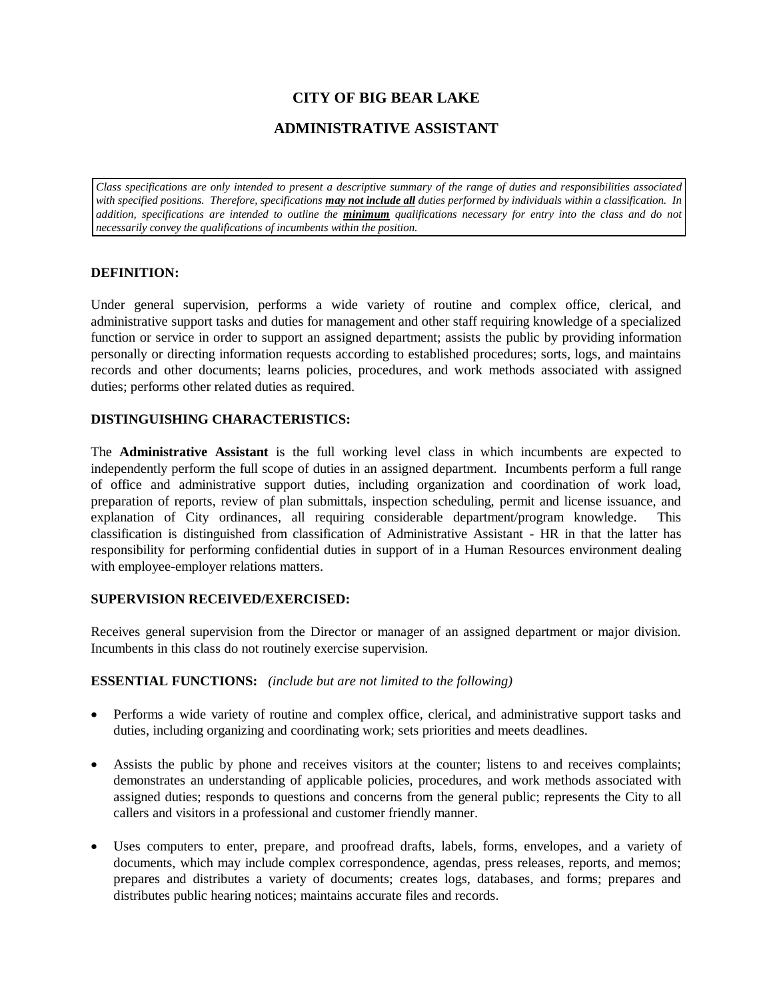# **CITY OF BIG BEAR LAKE**

## **ADMINISTRATIVE ASSISTANT**

*Class specifications are only intended to present a descriptive summary of the range of duties and responsibilities associated with specified positions. Therefore, specifications may not include all duties performed by individuals within a classification. In addition, specifications are intended to outline the minimum qualifications necessary for entry into the class and do not necessarily convey the qualifications of incumbents within the position.*

### **DEFINITION:**

Under general supervision, performs a wide variety of routine and complex office, clerical, and administrative support tasks and duties for management and other staff requiring knowledge of a specialized function or service in order to support an assigned department; assists the public by providing information personally or directing information requests according to established procedures; sorts, logs, and maintains records and other documents; learns policies, procedures, and work methods associated with assigned duties; performs other related duties as required.

### **DISTINGUISHING CHARACTERISTICS:**

The **Administrative Assistant** is the full working level class in which incumbents are expected to independently perform the full scope of duties in an assigned department. Incumbents perform a full range of office and administrative support duties, including organization and coordination of work load, preparation of reports, review of plan submittals, inspection scheduling, permit and license issuance, and explanation of City ordinances, all requiring considerable department/program knowledge. This classification is distinguished from classification of Administrative Assistant - HR in that the latter has responsibility for performing confidential duties in support of in a Human Resources environment dealing with employee-employer relations matters.

### **SUPERVISION RECEIVED/EXERCISED:**

Receives general supervision from the Director or manager of an assigned department or major division. Incumbents in this class do not routinely exercise supervision.

#### **ESSENTIAL FUNCTIONS:** *(include but are not limited to the following)*

- Performs a wide variety of routine and complex office, clerical, and administrative support tasks and duties, including organizing and coordinating work; sets priorities and meets deadlines.
- Assists the public by phone and receives visitors at the counter; listens to and receives complaints; demonstrates an understanding of applicable policies, procedures, and work methods associated with assigned duties; responds to questions and concerns from the general public; represents the City to all callers and visitors in a professional and customer friendly manner.
- Uses computers to enter, prepare, and proofread drafts, labels, forms, envelopes, and a variety of documents, which may include complex correspondence, agendas, press releases, reports, and memos; prepares and distributes a variety of documents; creates logs, databases, and forms; prepares and distributes public hearing notices; maintains accurate files and records.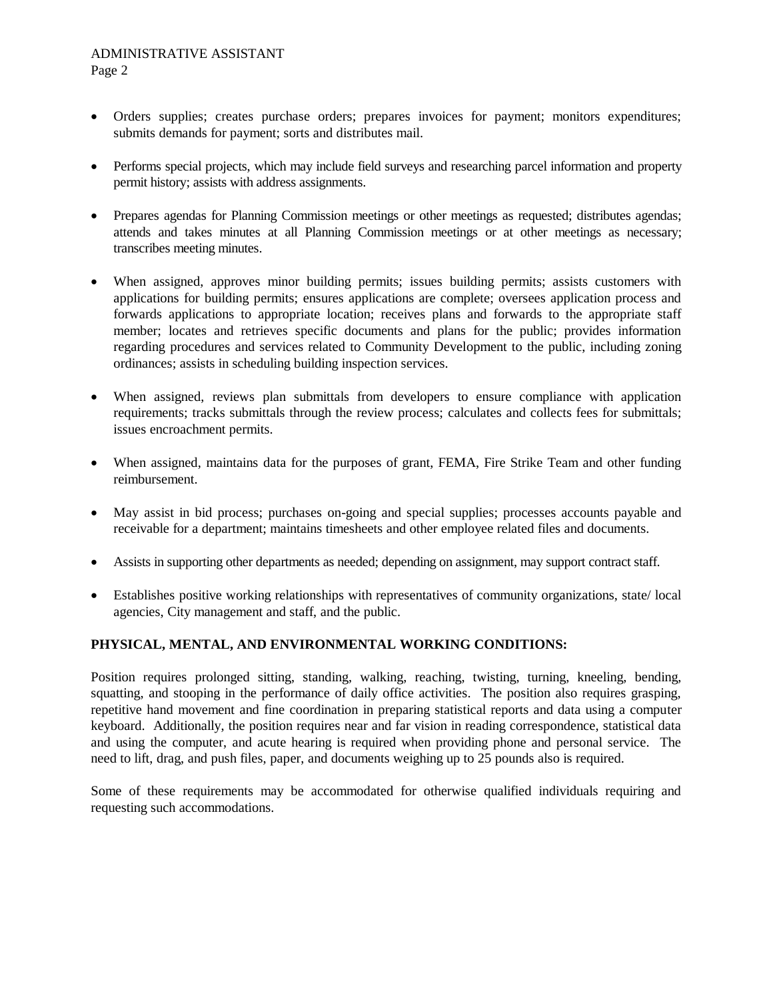- Orders supplies; creates purchase orders; prepares invoices for payment; monitors expenditures; submits demands for payment; sorts and distributes mail.
- Performs special projects, which may include field surveys and researching parcel information and property permit history; assists with address assignments.
- Prepares agendas for Planning Commission meetings or other meetings as requested; distributes agendas; attends and takes minutes at all Planning Commission meetings or at other meetings as necessary; transcribes meeting minutes.
- When assigned, approves minor building permits; issues building permits; assists customers with applications for building permits; ensures applications are complete; oversees application process and forwards applications to appropriate location; receives plans and forwards to the appropriate staff member; locates and retrieves specific documents and plans for the public; provides information regarding procedures and services related to Community Development to the public, including zoning ordinances; assists in scheduling building inspection services.
- When assigned, reviews plan submittals from developers to ensure compliance with application requirements; tracks submittals through the review process; calculates and collects fees for submittals; issues encroachment permits.
- When assigned, maintains data for the purposes of grant, FEMA, Fire Strike Team and other funding reimbursement.
- May assist in bid process; purchases on-going and special supplies; processes accounts payable and receivable for a department; maintains timesheets and other employee related files and documents.
- Assists in supporting other departments as needed; depending on assignment, may support contract staff.
- Establishes positive working relationships with representatives of community organizations, state/ local agencies, City management and staff, and the public.

## **PHYSICAL, MENTAL, AND ENVIRONMENTAL WORKING CONDITIONS:**

Position requires prolonged sitting, standing, walking, reaching, twisting, turning, kneeling, bending, squatting, and stooping in the performance of daily office activities. The position also requires grasping, repetitive hand movement and fine coordination in preparing statistical reports and data using a computer keyboard. Additionally, the position requires near and far vision in reading correspondence, statistical data and using the computer, and acute hearing is required when providing phone and personal service. The need to lift, drag, and push files, paper, and documents weighing up to 25 pounds also is required.

Some of these requirements may be accommodated for otherwise qualified individuals requiring and requesting such accommodations.